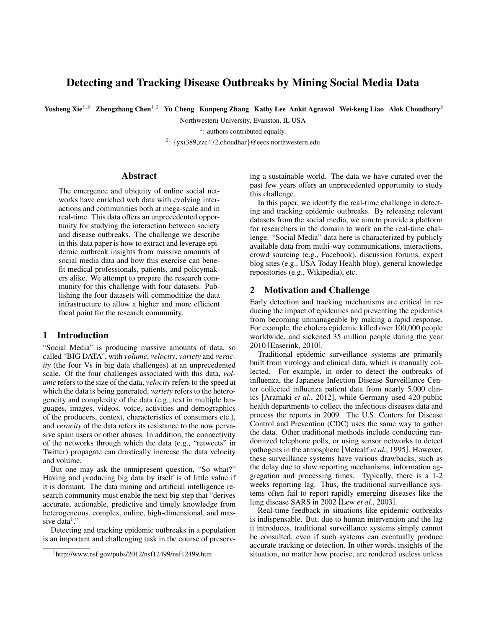# Detecting and Tracking Disease Outbreaks by Mining Social Media Data

Yusheng Xie<sup>1,2</sup> Zhengzhang Chen<sup>1,2</sup> Yu Cheng Kunpeng Zhang Kathy Lee Ankit Agrawal Wei-keng Liao Alok Choudhary<sup>2</sup>

Northwestern University, Evanston, IL USA

<sup>1</sup>: authors contributed equally.

<sup>2</sup>: {yxi389,zzc472,choudhar}@eecs.northwestern.edu

### Abstract

The emergence and ubiquity of online social networks have enriched web data with evolving interactions and communities both at mega-scale and in real-time. This data offers an unprecedented opportunity for studying the interaction between society and disease outbreaks. The challenge we describe in this data paper is how to extract and leverage epidemic outbreak insights from massive amounts of social media data and how this exercise can benefit medical professionals, patients, and policymakers alike. We attempt to prepare the research community for this challenge with four datasets. Publishing the four datasets will commoditize the data infrastructure to allow a higher and more efficient focal point for the research community.

# 1 Introduction

"Social Media" is producing massive amounts of data, so called "BIG DATA", with *volume*, *velocity*, *variety* and *veracity* (the four Vs in big data challenges) at an unprecedented scale. Of the four challenges associated with this data, *volume* refers to the size of the data, *velocity* refers to the speed at which the data is being generated, *variety* refers to the heterogeneity and complexity of the data (e.g., text in multiple languages, images, videos, voice, activities and demographics of the producers, context, characteristics of consumers etc.), and *veracity* of the data refers its resistance to the now pervasive spam users or other abuses. In addition, the connectivity of the networks through which the data (e.g., "retweets" in Twitter) propagate can drastically increase the data velocity and volume.

But one may ask the omnipresent question, "So what?" Having and producing big data by itself is of little value if it is dormant. The data mining and artificial intelligence research community must enable the next big step that "derives accurate, actionable, predictive and timely knowledge from heterogeneous, complex, online, high-dimensional, and massive data<sup>1</sup>."

Detecting and tracking epidemic outbreaks in a population is an important and challenging task in the course of preserving a sustainable world. The data we have curated over the past few years offers an unprecedented opportunity to study this challenge.

In this paper, we identify the real-time challenge in detecting and tracking epidemic outbreaks. By releasing relevant datasets from the social media, we aim to provide a platform for researchers in the domain to work on the real-time challenge. "Social Media" data here is characterized by publicly available data from multi-way communications, interactions, crowd sourcing (e.g., Facebook), discussion forums, expert blog sites (e.g., USA Today Health blog), general knowledge repositories (e.g., Wikipedia), etc.

# 2 Motivation and Challenge

Early detection and tracking mechanisms are critical in reducing the impact of epidemics and preventing the epidemics from becoming unmanageable by making a rapid response. For example, the cholera epidemic killed over 100,000 people worldwide, and sickened 35 million people during the year 2010 [Enserink, 2010].

Traditional epidemic surveillance systems are primarily built from virology and clinical data, which is manually collected. For example, in order to detect the outbreaks of influenza, the Japanese Infection Disease Surveillance Center collected influenza patient data from nearly 5,000 clinics [Aramaki *et al.*, 2012], while Germany used 420 public health departments to collect the infectious diseases data and process the reports in 2009. The U.S. Centers for Disease Control and Prevention (CDC) uses the same way to gather the data. Other traditional methods include conducting randomized telephone polls, or using sensor networks to detect pathogens in the atmosphere [Metcalf *et al.*, 1995]. However, these surveillance systems have various drawbacks, such as the delay due to slow reporting mechanisms, information aggregation and processing times. Typically, there is a 1-2 weeks reporting lag. Thus, the traditional surveillance systems often fail to report rapidly emerging diseases like the lung disease SARS in 2002 [Lew *et al.*, 2003].

Real-time feedback in situations like epidemic outbreaks is indispensable. But, due to human intervention and the lag it introduces, traditional surveillance systems simply cannot be consulted, even if such systems can eventually produce accurate tracking or detection. In other words, insights of the situation, no matter how precise, are rendered useless unless

<sup>1</sup> http://www.nsf.gov/pubs/2012/nsf12499/nsf12499.htm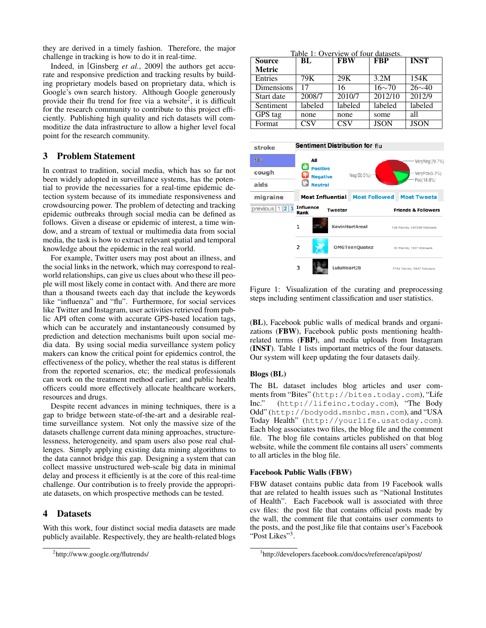they are derived in a timely fashion. Therefore, the major challenge in tracking is how to do it in real-time.

Indeed, in [Ginsberg *et al.*, 2009] the authors get accurate and responsive prediction and tracking results by building proprietary models based on proprietary data, which is Google's own search history. Although Google generously provide their flu trend for free via a website<sup>2</sup>, it is difficult for the research community to contribute to this project efficiently. Publishing high quality and rich datasets will commoditize the data infrastructure to allow a higher level focal point for the research community.

# 3 Problem Statement

In contrast to tradition, social media, which has so far not been widely adopted in surveillance systems, has the potential to provide the necessaries for a real-time epidemic detection system because of its immediate responsiveness and crowdsourcing power. The problem of detecting and tracking epidemic outbreaks through social media can be defined as follows. Given a disease or epidemic of interest, a time window, and a stream of textual or multimedia data from social media, the task is how to extract relevant spatial and temporal knowledge about the epidemic in the real world.

For example, Twitter users may post about an illness, and the social links in the network, which may correspond to realworld relationships, can give us clues about who these ill people will most likely come in contact with. And there are more than a thousand tweets each day that include the keywords like "influenza" and "flu". Furthermore, for social services like Twitter and Instagram, user activities retrieved from public API often come with accurate GPS-based location tags, which can be accurately and instantaneously consumed by prediction and detection mechanisms built upon social media data. By using social media surveillance system policy makers can know the critical point for epidemics control, the effectiveness of the policy, whether the real status is different from the reported scenarios, etc; the medical professionals can work on the treatment method earlier; and public health officers could more effectively allocate healthcare workers, resources and drugs.

Despite recent advances in mining techniques, there is a gap to bridge between state-of-the-art and a desirable realtime surveillance system. Not only the massive size of the datasets challenge current data mining approaches, structurelessness, heterogeneity, and spam users also pose real challenges. Simply applying existing data mining algorithms to the data cannot bridge this gap. Designing a system that can collect massive unstructured web-scale big data in minimal delay and process it efficiently is at the core of this real-time challenge. Our contribution is to freely provide the appropriate datasets, on which prospective methods can be tested.

# 4 Datasets

With this work, four distinct social media datasets are made publicly available. Respectively, they are health-related blogs

Table 1: Overview of four datasets.

| <b>Source</b> | BL                      | <b>FBW</b> | <b>FBP</b>        | <b>INST</b>  |
|---------------|-------------------------|------------|-------------------|--------------|
| <b>Metric</b> |                         |            |                   |              |
| Entries       | 79K                     | 29K        | $3.2\overline{M}$ | 154K         |
| Dimensions    | 17                      | 16         | $16 \sim 70$      | $26 \sim 40$ |
| Start date    | 2008/7                  | 2010/7     | 2012/10           | 2012/9       |
| Sentiment     | labeled                 | labeled    | labeled           | labeled      |
| GPS tag       | none                    | none       | some              | all          |
| Format        | $\overline{\text{CSV}}$ | <b>CSV</b> | <b>JSON</b>       | <b>JSON</b>  |



Figure 1: Visualization of the curating and preprocessing steps including sentiment classification and user statistics.

(BL), Facebook public walls of medical brands and organizations (FBW), Facebook public posts mentioning healthrelated terms (FBP), and media uploads from Instagram (INST). Table 1 lists important metrics of the four datasets. Our system will keep updating the four datasets daily.

#### Blogs (BL)

The BL dataset includes blog articles and user comments from "Bites" (http://bites.today.com), "Life Inc." (http://lifeinc.today.com), "The Body Odd" (http://bodyodd.msnbc.msn.com), and "USA Today Health" (http://yourlife.usatoday.com). Each blog associates two files, the blog file and the comment file. The blog file contains articles published on that blog website, while the comment file contains all users' comments to all articles in the blog file.

#### Facebook Public Walls (FBW)

FBW dataset contains public data from 19 Facebook walls that are related to health issues such as "National Institutes of Health". Each Facebook wall is associated with three csv files: the post file that contains official posts made by the wall, the comment file that contains user comments to the posts, and the post like file that contains user's Facebook "Post Likes"<sup>3</sup>.

<sup>2</sup> http://www.google.org/flutrends/

<sup>3</sup> http://developers.facebook.com/docs/reference/api/post/